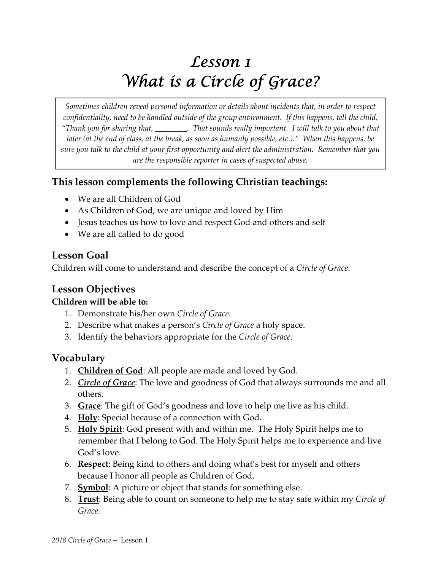# *Lesson 1 What is a Circle of Grace?*

*Sometimes children reveal personal information or details about incidents that, in order to respect confidentiality, need to be handled outside of the group environment. If this happens, tell the child,* "Thank you for sharing that, \_\_\_\_\_\_\_\_\_. That sounds really important. I will talk to you about that later (at the end of class, at the break, as soon as humanly possible, etc.)." When this happens, be sure you talk to the child at your first opportunity and alert the administration. Remember that you *are the responsible reporter in cases of suspected abuse.*

# **This lesson complements the following Christian teachings:**

- We are all Children of God
- As Children of God, we are unique and loved by Him
- Jesus teaches us how to love and respect God and others and self
- We are all called to do good

#### **Lesson Goal**

Children will come to understand and describe the concept of a *Circle of Grace*.

# **Lesson Objectives**

#### **Children will be able to:**

- 1. Demonstrate his/her own *Circle of Grace*.
- 2. Describe what makes a person's *Circle of Grace* a holy space.
- 3. Identify the behaviors appropriate for the *Circle of Grace*.

# **Vocabulary**

- 1. **Children of God**: All people are made and loved by God.
- 2. *Circle of Grace*: The love and goodness of God that always surrounds me and all others.
- 3. **Grace**: The gift of God's goodness and love to help me live as his child.
- 4. **Holy**: Special because of a connection with God.
- 5. **Holy Spirit**: God present with and within me. The Holy Spirit helps me to remember that I belong to God. The Holy Spirit helps me to experience and live God's love.
- 6. **Respect**: Being kind to others and doing what's best for myself and others because I honor all people as Children of God.
- 7. **Symbol**: A picture or object that stands for something else.
- 8. **Trust**: Being able to count on someone to help me to stay safe within my *Circle of Grace*.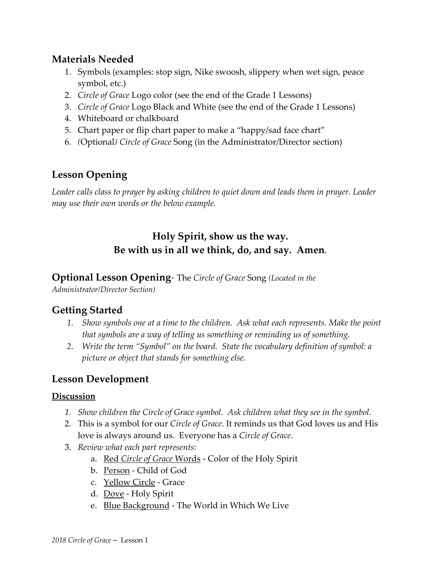# **Materials Needed**

- 1. Symbols (examples: stop sign, Nike swoosh, slippery when wet sign, peace symbol, etc.)
- 2. *Circle of Grace* Logo color (see the end of the Grade 1 Lessons)
- 3. *Circle of Grace* Logo Black and White (see the end of the Grade 1 Lessons)
- 4. Whiteboard or chalkboard
- 5. Chart paper or flip chart paper to make a "happy/sad face chart"
- 6. *(*Optional*) Circle of Grace* Song (in the Administrator/Director section)

# **Lesson Opening**

*Leader calls class to prayer by asking children to quiet down and leads them in prayer. Leader may use their own words or the below example.* 

# **Holy Spirit, show us the way. Be with us in all we think, do, and say. Amen***.*

#### **Optional Lesson Opening***‐* The *Circle of Grace* Song *(Located in the*

*Administrator/Director Section)*

# **Getting Started**

- *1. Show symbols one at a time to the children. Ask what each represents. Make the point that symbols are a way of telling us something or reminding us of something.*
- *2. Write the term "Symbol" on the board. State the vocabulary definition of symbol: a picture or object that stands for something else.*

# **Lesson Development**

#### **Discussion**

- *1. Show children the Circle of Grace symbol. Ask children what they see in the symbol.*
- 2. This is a symbol for our *Circle of Grace*. It reminds us that God loves us and His love is always around us. Everyone has a *Circle of Grace*.
- 3. *Review what each part represents*:
	- a. Red *Circle of Grace* Words ‐ Color of the Holy Spirit
	- b. Person ‐ Child of God
	- c. Yellow Circle ‐ Grace
	- d. Dove ‐ Holy Spirit
	- e. Blue Background ‐ The World in Which We Live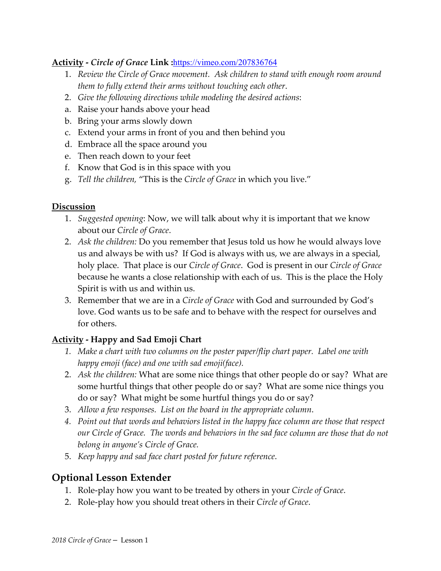#### **Activity ‐** *Circle of Grace* **Link :**https://vimeo.com/207836764

- 1. *Review the Circle of Grace movement. Ask children to stand with enough room around them to fully extend their arms without touching each other*.
- 2. *Give the following directions while modeling the desired actions*:
- a. Raise your hands above your head
- b. Bring your arms slowly down
- c. Extend your arms in front of you and then behind you
- d. Embrace all the space around you
- e. Then reach down to your feet
- f. Know that God is in this space with you
- g. *Tell the children,* "This is the *Circle of Grace* in which you live."

#### **Discussion**

- 1. *Suggested opening*: Now, we will talk about why it is important that we know about our *Circle of Grace*.
- 2. *Ask the children:* Do you remember that Jesus told us how he would always love us and always be with us? If God is always with us, we are always in a special, holy place. That place is our *Circle of Grace*. God is present in our *Circle of Grace* because he wants a close relationship with each of us. This is the place the Holy Spirit is with us and within us.
- 3. Remember that we are in a *Circle of Grace* with God and surrounded by God's love. God wants us to be safe and to behave with the respect for ourselves and for others.

#### **Activity ‐ Happy and Sad Emoji Chart**

- *1. Make a chart with two columns on the poster paper/flip chart paper. Label one with happy emoji (face) and one with sad emoji(face).*
- 2. *Ask the children:* What are some nice things that other people do or say? What are some hurtful things that other people do or say? What are some nice things you do or say? What might be some hurtful things you do or say?
- 3. *Allow a few responses. List on the board in the appropriate column*.
- *4. Point out that words and behaviors listed in the happy face column are those that respect our Circle of Grace. The words and behaviors in the sad face column are those that do not belong in anyone's Circle of Grace.*
- 5. *Keep happy and sad face chart posted for future reference*.

# **Optional Lesson Extender**

- 1. Role‐play how you want to be treated by others in your *Circle of Grace*.
- 2. Role‐play how you should treat others in their *Circle of Grace*.